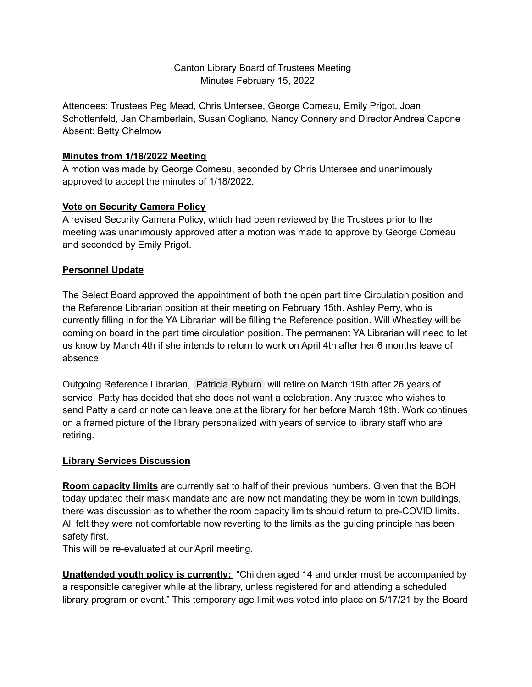## Canton Library Board of Trustees Meeting Minutes February 15, 2022

Attendees: Trustees Peg Mead, Chris Untersee, George Comeau, Emily Prigot, Joan Schottenfeld, Jan Chamberlain, Susan Cogliano, Nancy Connery and Director Andrea Capone Absent: Betty Chelmow

### **Minutes from 1/18/2022 Meeting**

A motion was made by George Comeau, seconded by Chris Untersee and unanimously approved to accept the minutes of 1/18/2022.

### **Vote on Security Camera Policy**

A revised Security Camera Policy, which had been reviewed by the Trustees prior to the meeting was unanimously approved after a motion was made to approve by George Comeau and seconded by Emily Prigot.

# **Personnel Update**

The Select Board approved the appointment of both the open part time Circulation position and the Reference Librarian position at their meeting on February 15th. Ashley Perry, who is currently filling in for the YA Librarian will be filling the Reference position. Will Wheatley will be coming on board in the part time circulation position. The permanent YA Librarian will need to let us know by March 4th if she intends to return to work on April 4th after her 6 months leave of absence.

Outgoing Reference Librarian, [Patricia](mailto:pryburn@ocln.org) Ryburn will retire on March 19th after 26 years of service. Patty has decided that she does not want a celebration. Any trustee who wishes to send Patty a card or note can leave one at the library for her before March 19th. Work continues on a framed picture of the library personalized with years of service to library staff who are retiring.

# **Library Services Discussion**

**Room capacity limits** are currently set to half of their previous numbers. Given that the BOH today updated their mask mandate and are now not mandating they be worn in town buildings, there was discussion as to whether the room capacity limits should return to pre-COVID limits. All felt they were not comfortable now reverting to the limits as the guiding principle has been safety first.

This will be re-evaluated at our April meeting.

**Unattended youth policy is currently:** "Children aged 14 and under must be accompanied by a responsible caregiver while at the library, unless registered for and attending a scheduled library program or event." This temporary age limit was voted into place on 5/17/21 by the Board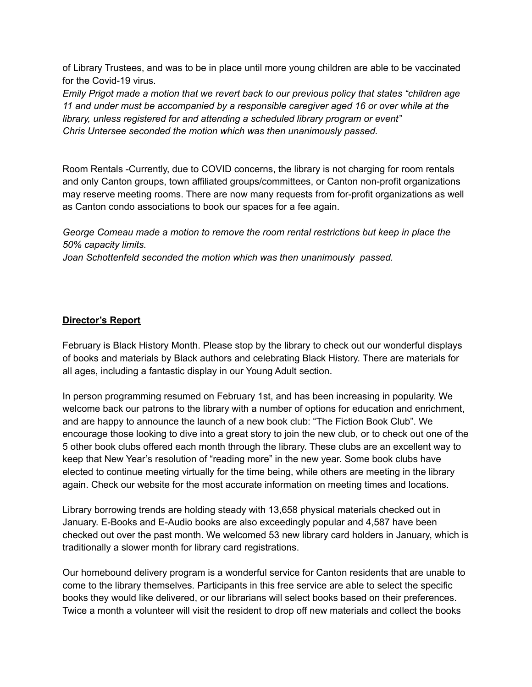of Library Trustees, and was to be in place until more young children are able to be vaccinated for the Covid-19 virus.

*Emily Prigot made a motion that we revert back to our previous policy that states "children age 11 and under must be accompanied by a responsible caregiver aged 16 or over while at the library, unless registered for and attending a scheduled library program or event" Chris Untersee seconded the motion which was then unanimously passed.*

Room Rentals -Currently, due to COVID concerns, the library is not charging for room rentals and only Canton groups, town affiliated groups/committees, or Canton non-profit organizations may reserve meeting rooms. There are now many requests from for-profit organizations as well as Canton condo associations to book our spaces for a fee again.

*George Comeau made a motion to remove the room rental restrictions but keep in place the 50% capacity limits.*

*Joan Schottenfeld seconded the motion which was then unanimously passed.*

#### **Director's Report**

February is Black History Month. Please stop by the library to check out our wonderful displays of books and materials by Black authors and celebrating Black History. There are materials for all ages, including a fantastic display in our Young Adult section.

In person programming resumed on February 1st, and has been increasing in popularity. We welcome back our patrons to the library with a number of options for education and enrichment, and are happy to announce the launch of a new book club: "The Fiction Book Club". We encourage those looking to dive into a great story to join the new club, or to check out one of the 5 other book clubs offered each month through the library. These clubs are an excellent way to keep that New Year's resolution of "reading more" in the new year. Some book clubs have elected to continue meeting virtually for the time being, while others are meeting in the library again. Check our website for the most accurate information on meeting times and locations.

Library borrowing trends are holding steady with 13,658 physical materials checked out in January. E-Books and E-Audio books are also exceedingly popular and 4,587 have been checked out over the past month. We welcomed 53 new library card holders in January, which is traditionally a slower month for library card registrations.

Our homebound delivery program is a wonderful service for Canton residents that are unable to come to the library themselves. Participants in this free service are able to select the specific books they would like delivered, or our librarians will select books based on their preferences. Twice a month a volunteer will visit the resident to drop off new materials and collect the books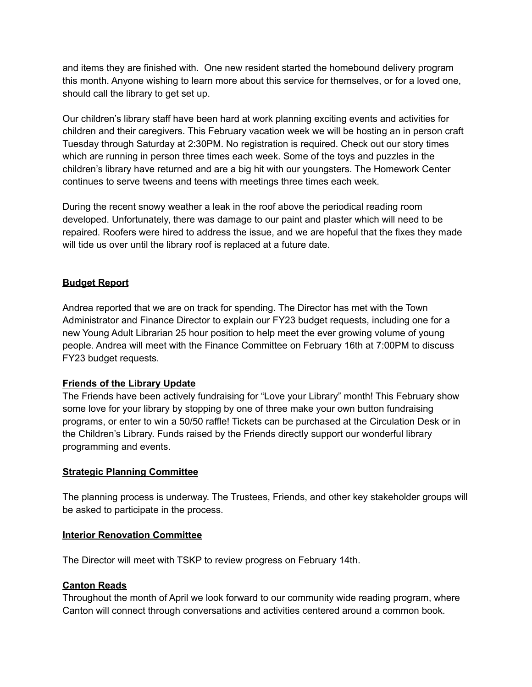and items they are finished with. One new resident started the homebound delivery program this month. Anyone wishing to learn more about this service for themselves, or for a loved one, should call the library to get set up.

Our children's library staff have been hard at work planning exciting events and activities for children and their caregivers. This February vacation week we will be hosting an in person craft Tuesday through Saturday at 2:30PM. No registration is required. Check out our story times which are running in person three times each week. Some of the toys and puzzles in the children's library have returned and are a big hit with our youngsters. The Homework Center continues to serve tweens and teens with meetings three times each week.

During the recent snowy weather a leak in the roof above the periodical reading room developed. Unfortunately, there was damage to our paint and plaster which will need to be repaired. Roofers were hired to address the issue, and we are hopeful that the fixes they made will tide us over until the library roof is replaced at a future date.

### **Budget Report**

Andrea reported that we are on track for spending. The Director has met with the Town Administrator and Finance Director to explain our FY23 budget requests, including one for a new Young Adult Librarian 25 hour position to help meet the ever growing volume of young people. Andrea will meet with the Finance Committee on February 16th at 7:00PM to discuss FY23 budget requests.

# **Friends of the Library Update**

The Friends have been actively fundraising for "Love your Library" month! This February show some love for your library by stopping by one of three make your own button fundraising programs, or enter to win a 50/50 raffle! Tickets can be purchased at the Circulation Desk or in the Children's Library. Funds raised by the Friends directly support our wonderful library programming and events.

#### **Strategic Planning Committee**

The planning process is underway. The Trustees, Friends, and other key stakeholder groups will be asked to participate in the process.

#### **Interior Renovation Committee**

The Director will meet with TSKP to review progress on February 14th.

# **Canton Reads**

Throughout the month of April we look forward to our community wide reading program, where Canton will connect through conversations and activities centered around a common book.